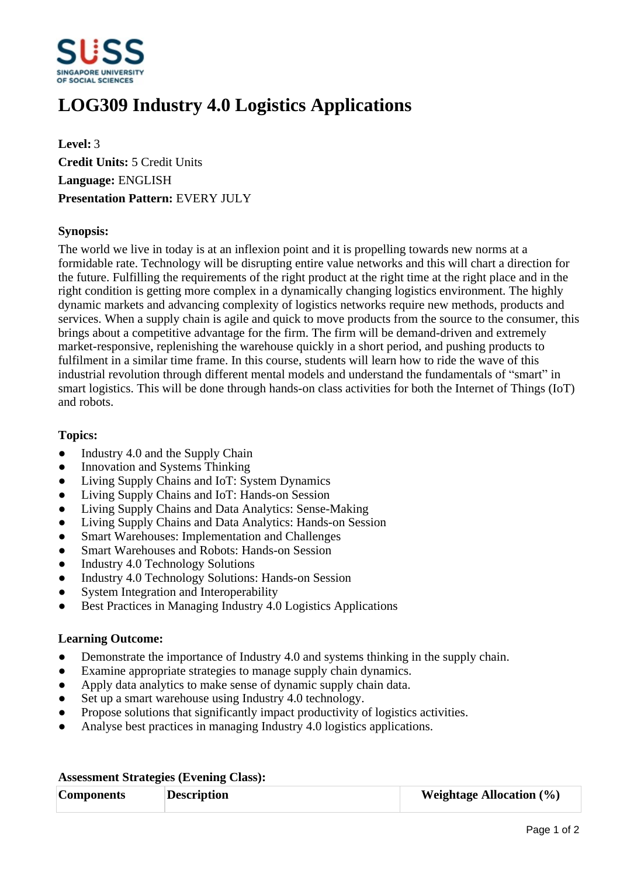

# **LOG309 Industry 4.0 Logistics Applications**

**Level:** 3 **Credit Units:** 5 Credit Units **Language:** ENGLISH **Presentation Pattern:** EVERY JULY

## **Synopsis:**

The world we live in today is at an inflexion point and it is propelling towards new norms at a formidable rate. Technology will be disrupting entire value networks and this will chart a direction for the future. Fulfilling the requirements of the right product at the right time at the right place and in the right condition is getting more complex in a dynamically changing logistics environment. The highly dynamic markets and advancing complexity of logistics networks require new methods, products and services. When a supply chain is agile and quick to move products from the source to the consumer, this brings about a competitive advantage for the firm. The firm will be demand-driven and extremely market-responsive, replenishing the warehouse quickly in a short period, and pushing products to fulfilment in a similar time frame. In this course, students will learn how to ride the wave of this industrial revolution through different mental models and understand the fundamentals of "smart" in smart logistics. This will be done through hands-on class activities for both the Internet of Things (IoT) and robots.

### **Topics:**

- $\bullet$  Industry 4.0 and the Supply Chain
- Innovation and Systems Thinking
- Living Supply Chains and IoT: System Dynamics
- Living Supply Chains and IoT: Hands-on Session
- Living Supply Chains and Data Analytics: Sense-Making
- Living Supply Chains and Data Analytics: Hands-on Session
- Smart Warehouses: Implementation and Challenges
- Smart Warehouses and Robots: Hands-on Session
- Industry 4.0 Technology Solutions
- Industry 4.0 Technology Solutions: Hands-on Session
- System Integration and Interoperability
- Best Practices in Managing Industry 4.0 Logistics Applications

### **Learning Outcome:**

- Demonstrate the importance of Industry 4.0 and systems thinking in the supply chain.
- Examine appropriate strategies to manage supply chain dynamics.
- Apply data analytics to make sense of dynamic supply chain data.
- Set up a smart warehouse using Industry 4.0 technology.
- Propose solutions that significantly impact productivity of logistics activities.
- Analyse best practices in managing Industry 4.0 logistics applications.

| <b>Components</b> | <b>Description</b> | <b>Weightage Allocation</b> $(\%)$ |
|-------------------|--------------------|------------------------------------|

### **Assessment Strategies (Evening Class):**